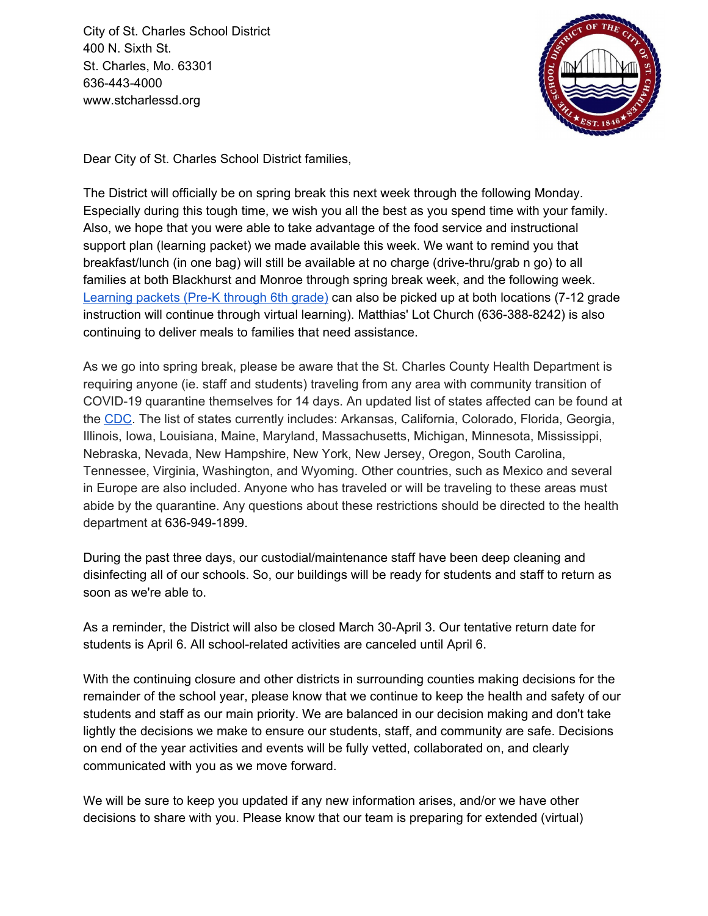City of St. Charles School District 400 N. Sixth St. St. Charles, Mo. 63301 636-443-4000 www.stcharlessd.org



Dear City of St. Charles School District families,

The District will officially be on spring break this next week through the following Monday. Especially during this tough time, we wish you all the best as you spend time with your family. Also, we hope that you were able to take advantage of the food service and instructional support plan (learning packet) we made available this week. We want to remind you that breakfast/lunch (in one bag) will still be available at no charge (drive-thru/grab n go) to all families at both Blackhurst and Monroe through spring break week, and the following week. [Learning](https://www.stcharlessd.org/domain/1006) packets (Pre-K through 6th grade) can also be picked up at both locations (7-12 grade instruction will continue through virtual learning). Matthias' Lot Church (636-388-8242) is also continuing to deliver meals to families that need assistance.

As we go into spring break, please be aware that the St. Charles County Health Department is requiring anyone (ie. staff and students) traveling from any area with community transition of COVID-19 quarantine themselves for 14 days. An updated list of states affected can be found at the [CDC](https://www.cdc.gov/coronavirus/2019-nCoV/index.html). The list of states currently includes: Arkansas, California, Colorado, Florida, Georgia, Illinois, Iowa, Louisiana, Maine, Maryland, Massachusetts, Michigan, Minnesota, Mississippi, Nebraska, Nevada, New Hampshire, New York, New Jersey, Oregon, South Carolina, Tennessee, Virginia, Washington, and Wyoming. Other countries, such as Mexico and several in Europe are also included. Anyone who has traveled or will be traveling to these areas must abide by the quarantine. Any questions about these restrictions should be directed to the health department at 636-949-1899.

During the past three days, our custodial/maintenance staff have been deep cleaning and disinfecting all of our schools. So, our buildings will be ready for students and staff to return as soon as we're able to.

As a reminder, the District will also be closed March 30-April 3. Our tentative return date for students is April 6. All school-related activities are canceled until April 6.

With the continuing closure and other districts in surrounding counties making decisions for the remainder of the school year, please know that we continue to keep the health and safety of our students and staff as our main priority. We are balanced in our decision making and don't take lightly the decisions we make to ensure our students, staff, and community are safe. Decisions on end of the year activities and events will be fully vetted, collaborated on, and clearly communicated with you as we move forward.

We will be sure to keep you updated if any new information arises, and/or we have other decisions to share with you. Please know that our team is preparing for extended (virtual)